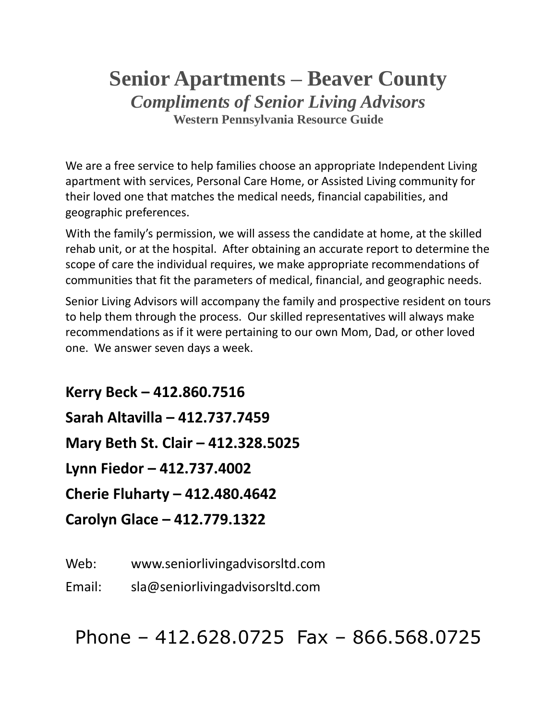# **Senior Apartments – Beaver County** *Compliments of Senior Living Advisors* **Western Pennsylvania Resource Guide**

We are a free service to help families choose an appropriate Independent Living apartment with services, Personal Care Home, or Assisted Living community for their loved one that matches the medical needs, financial capabilities, and geographic preferences.

With the family's permission, we will assess the candidate at home, at the skilled rehab unit, or at the hospital. After obtaining an accurate report to determine the scope of care the individual requires, we make appropriate recommendations of communities that fit the parameters of medical, financial, and geographic needs.

Senior Living Advisors will accompany the family and prospective resident on tours to help them through the process. Our skilled representatives will always make recommendations as if it were pertaining to our own Mom, Dad, or other loved one. We answer seven days a week.

**Kerry Beck – 412.860.7516 Sarah Altavilla – 412.737.7459 Mary Beth St. Clair – 412.328.5025 Lynn Fiedor – 412.737.4002 Cherie Fluharty – 412.480.4642 Carolyn Glace – 412.779.1322**

Web: www.seniorlivingadvisorsltd.com

Email: sla@seniorlivingadvisorsltd.com

Phone – 412.628.0725 Fax – 866.568.0725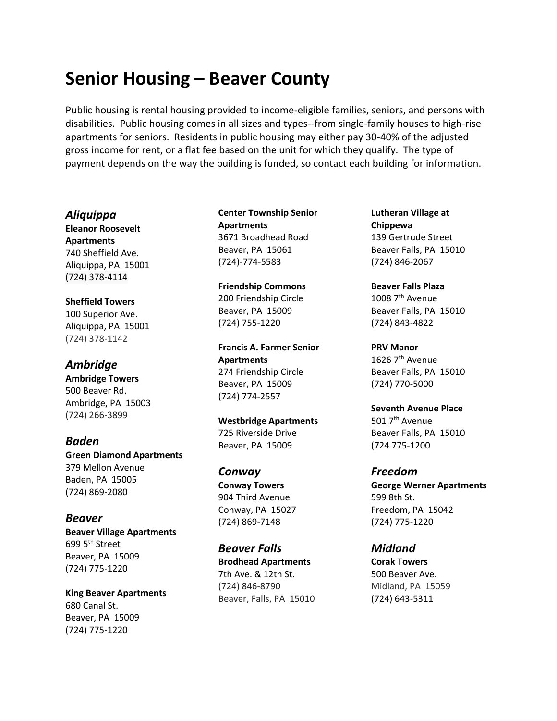# **Senior Housing – Beaver County**

Public housing is rental housing provided to income-eligible families, seniors, and persons with disabilities. Public housing comes in all sizes and types--from single-family houses to high-rise apartments for seniors. Residents in public housing may either pay 30-40% of the adjusted gross income for rent, or a flat fee based on the unit for which they qualify. The type of payment depends on the way the building is funded, so contact each building for information.

#### *Aliquippa*

**Eleanor Roosevelt Apartments** 740 Sheffield Ave. Aliquippa, PA 15001 (724) 378-4114

#### **Sheffield Towers**

100 Superior Ave. Aliquippa, PA 15001 (724) 378-1142

## *Ambridge*

**Ambridge Towers** 500 Beaver Rd. Ambridge, PA 15003 (724) 266-3899

#### *Baden* **Green Diamond Apartments** 379 Mellon Avenue Baden, PA 15005 (724) 869-2080

### *Beaver* **Beaver Village Apartments** 699 5<sup>th</sup> Street Beaver, PA 15009 (724) 775-1220

**King Beaver Apartments** 680 Canal St. Beaver, PA 15009 (724) 775-1220

#### **Center Township Senior Apartments** 3671 Broadhead Road Beaver, PA 15061 (724)-774-5583

**Friendship Commons** 200 Friendship Circle Beaver, PA 15009 (724) 755-1220

**Francis A. Farmer Senior Apartments** 274 Friendship Circle Beaver, PA 15009 (724) 774-2557

**Westbridge Apartments** 725 Riverside Drive Beaver, PA 15009

*Conway* **Conway Towers** 904 Third Avenue Conway, PA 15027 (724) 869-7148

*Beaver Falls* **Brodhead Apartments** 7th Ave. & 12th St. (724) 846-8790 Beaver, Falls, PA 15010 **Lutheran Village at Chippewa** 139 Gertrude Street Beaver Falls, PA 15010 (724) 846-2067

**Beaver Falls Plaza** 1008 7<sup>th</sup> Avenue Beaver Falls, PA 15010 (724) 843-4822

**PRV Manor** 1626 7<sup>th</sup> Avenue Beaver Falls, PA 15010 (724) 770-5000

**Seventh Avenue Place** 501 7<sup>th</sup> Avenue Beaver Falls, PA 15010 (724 775-1200

*Freedom* **George Werner Apartments** 599 8th St. Freedom, PA 15042 (724) 775-1220

### *Midland*

**Corak Towers** 500 Beaver Ave. Midland, PA 15059 (724) 643-5311